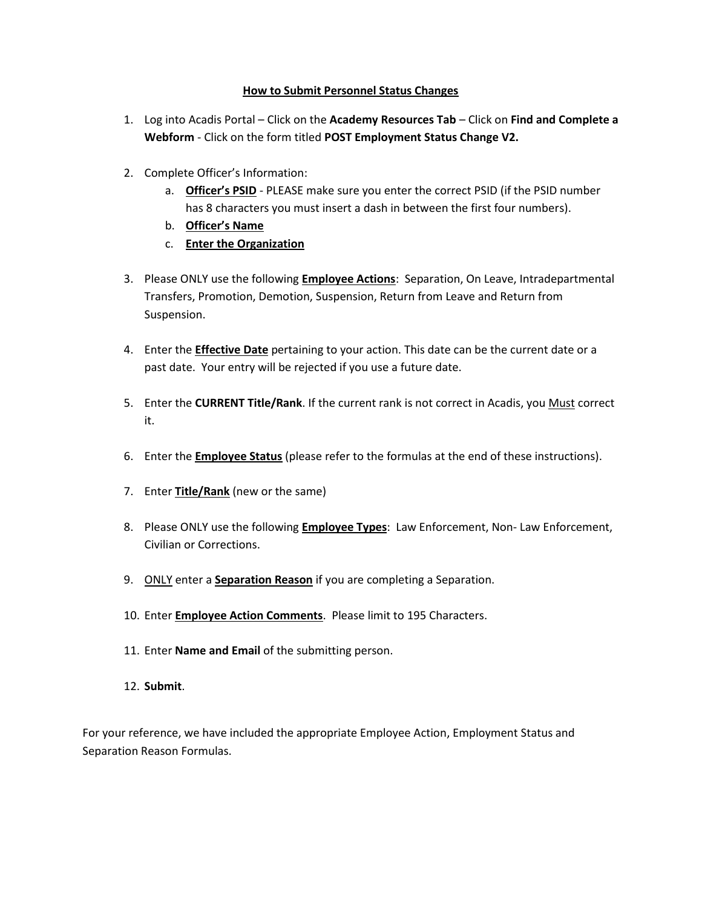# **How to Submit Personnel Status Changes**

- 1. Log into Acadis Portal Click on the **Academy Resources Tab** Click on **Find and Complete a Webform** - Click on the form titled **POST Employment Status Change V2.**
- 2. Complete Officer's Information:
	- a. **Officer's PSID** PLEASE make sure you enter the correct PSID (if the PSID number has 8 characters you must insert a dash in between the first four numbers).
	- b. **Officer's Name**
	- c. **Enter the Organization**
- 3. Please ONLY use the following **Employee Actions**: Separation, On Leave, Intradepartmental Transfers, Promotion, Demotion, Suspension, Return from Leave and Return from Suspension.
- 4. Enter the **Effective Date** pertaining to your action. This date can be the current date or a past date. Your entry will be rejected if you use a future date.
- 5. Enter the **CURRENT Title/Rank**. If the current rank is not correct in Acadis, you Must correct it.
- 6. Enter the **Employee Status** (please refer to the formulas at the end of these instructions).
- 7. Enter **Title/Rank** (new or the same)
- 8. Please ONLY use the following **Employee Types**: Law Enforcement, Non- Law Enforcement, Civilian or Corrections.
- 9. ONLY enter a **Separation Reason** if you are completing a Separation.
- 10. Enter **Employee Action Comments**. Please limit to 195 Characters.
- 11. Enter **Name and Email** of the submitting person.
- 12. **Submit**.

For your reference, we have included the appropriate Employee Action, Employment Status and Separation Reason Formulas.